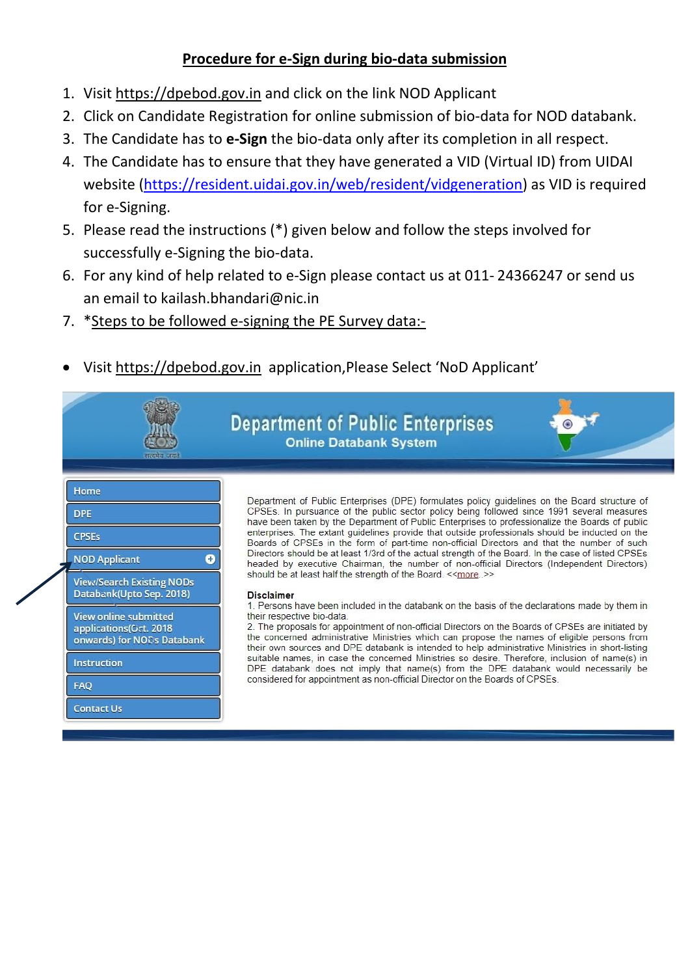## **Procedure for e-Sign during bio-data submission**

- 1. Visit [https://dpebod.gov.in](https://dpebod.gov.in/#_blank) and click on the link NOD Applicant
- 2. Click on Candidate Registration for online submission of bio-data for NOD databank.
- 3. The Candidate has to **e-Sign** the bio-data only after its completion in all respect.
- 4. The Candidate has to ensure that they have generated a VID (Virtual ID) from UIDAI website [\(https://resident.uidai.gov.in/web/resident/vidgeneration\)](https://resident.uidai.gov.in/web/resident/vidgeneration) as VID is required for e-Signing.
- 5. Please read the instructions (\*) given below and follow the steps involved for successfully e-Signing the bio-data.
- 6. For any kind of help related to e-Sign please contact us at 011- 24366247 or send us an email to kailash.bhandari@nic.in
- 7. \*Steps to be followed e-signing the PE Survey data:-
- Visit [https://dpebod.gov.in](https://dpebod.gov.in/#_blank) application,Please Select 'NoD Applicant'

| सरग्रमंत जगन                                                                                                                                                                                                                                                              | <b>Department of Public Enterprises</b><br>$\bullet$<br><b>Online Databank System</b>                                                                                                                                                                                                                                                                                                                                                                                                                                                                                                                                                                                                                                                                                                                                                                                                                                                                                                                                                                                                                                                                                                                                                                                                                                                                                                                                                                                                                           |
|---------------------------------------------------------------------------------------------------------------------------------------------------------------------------------------------------------------------------------------------------------------------------|-----------------------------------------------------------------------------------------------------------------------------------------------------------------------------------------------------------------------------------------------------------------------------------------------------------------------------------------------------------------------------------------------------------------------------------------------------------------------------------------------------------------------------------------------------------------------------------------------------------------------------------------------------------------------------------------------------------------------------------------------------------------------------------------------------------------------------------------------------------------------------------------------------------------------------------------------------------------------------------------------------------------------------------------------------------------------------------------------------------------------------------------------------------------------------------------------------------------------------------------------------------------------------------------------------------------------------------------------------------------------------------------------------------------------------------------------------------------------------------------------------------------|
| Home<br><b>DPE</b><br><b>CPSEs</b><br><b>NOD Applicant</b><br>Ð<br><b>View/Search Existing NODs</b><br>Databank(Upto Sep. 2018)<br><b>View online submitted</b><br>applications(Oct. 2018<br>onwards) for NODs Databank<br>Instruction<br><b>FAQ</b><br><b>Contact Us</b> | Department of Public Enterprises (DPE) formulates policy guidelines on the Board structure of<br>CPSEs. In pursuance of the public sector policy being followed since 1991 several measures<br>have been taken by the Department of Public Enterprises to professionalize the Boards of public<br>enterprises. The extant guidelines provide that outside professionals should be inducted on the<br>Boards of CPSEs in the form of part-time non-official Directors and that the number of such<br>Directors should be at least 1/3rd of the actual strength of the Board. In the case of listed CPSEs<br>headed by executive Chairman, the number of non-official Directors (Independent Directors)<br>should be at least half the strength of the Board. << more. >><br><b>Disclaimer</b><br>1. Persons have been included in the databank on the basis of the declarations made by them in<br>their respective bio-data.<br>2. The proposals for appointment of non-official Directors on the Boards of CPSEs are initiated by<br>the concerned administrative Ministries which can propose the names of eligible persons from<br>their own sources and DPE databank is intended to help administrative Ministries in short-listing<br>suitable names, in case the concerned Ministries so desire. Therefore, inclusion of name(s) in<br>DPE databank does not imply that name(s) from the DPE databank would necessarily be<br>considered for appointment as non-official Director on the Boards of CPSEs. |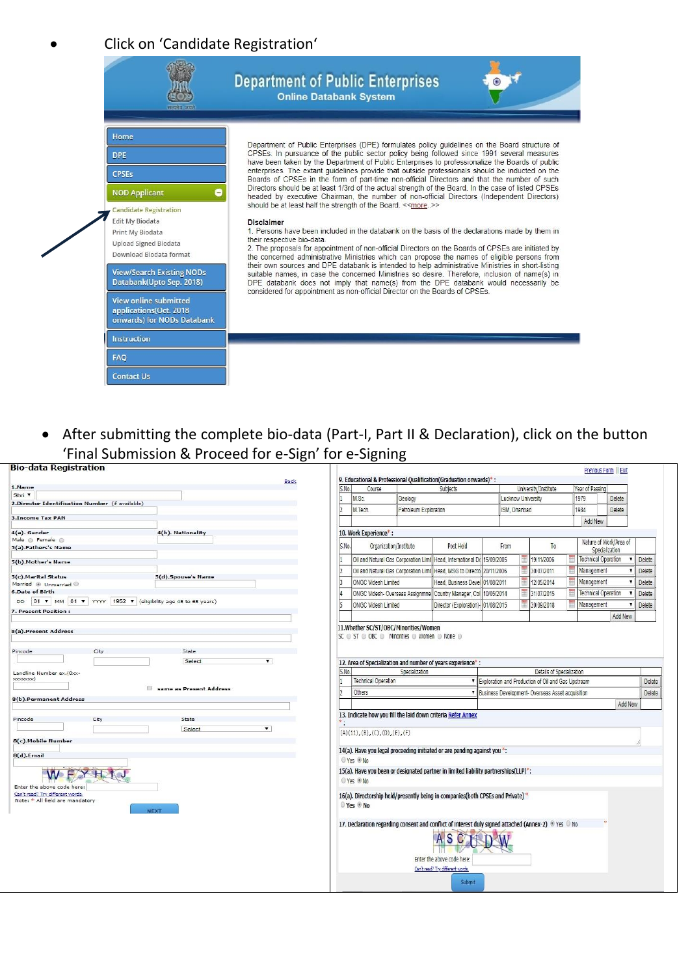## • Click on 'Candidate Registration'



• After submitting the complete bio-data (Part-I, Part II & Declaration), click on the button 'Final Submission & Proceed for e-Sign' for e-Signing

| <b>Bio-data Registration</b>                                     |       |            |                                                                                                                 |                       |                                    |            |                    |                                                      | Previous Form    Exit      |                        |               |
|------------------------------------------------------------------|-------|------------|-----------------------------------------------------------------------------------------------------------------|-----------------------|------------------------------------|------------|--------------------|------------------------------------------------------|----------------------------|------------------------|---------------|
| Back                                                             |       |            | 9. Educational & Professional Qualification(Graduation onwards)*:                                               |                       |                                    |            |                    |                                                      |                            |                        |               |
| 1.Name                                                           | S.No. |            | Course                                                                                                          |                       | Subjects                           |            |                    | University/Institute                                 | Year of Passing            |                        |               |
| Shri <sup>v</sup>                                                |       |            | M.Sc.                                                                                                           | Geology               |                                    |            | Lucknow University |                                                      | 1979                       | <b>Delete</b>          |               |
| 2.Director Identification Number (if available)                  |       |            | M.Tech.                                                                                                         | Petroleum Exploration |                                    |            | ISM. Dhanbad       |                                                      | 1984                       | Delete                 |               |
| <b>3.Income Tax PAN</b>                                          |       |            |                                                                                                                 |                       |                                    |            |                    |                                                      |                            |                        |               |
|                                                                  |       |            |                                                                                                                 |                       |                                    |            |                    |                                                      | Add New                    |                        |               |
| 4(b). Nationality<br>4(a). Gender                                |       |            | 10. Work Experience*:                                                                                           |                       |                                    |            |                    |                                                      |                            |                        |               |
| Male @ Female @<br>5(a).Fathers's Name                           | S.No. |            | Organization/Institute                                                                                          |                       | Post Held                          | From       |                    | T <sub>0</sub>                                       | Specialization             | Nature of Work/Area of |               |
| 5(b).Mother's Name                                               |       |            | Oil and Natural Gas Corporation Limi Head, International D( 15/09/2005                                          |                       |                                    |            |                    | 19/11/2006                                           | <b>Technical Operation</b> | $\blacktriangledown$   | <b>Delete</b> |
|                                                                  |       |            | Oil and Natural Gas Corporation Limi Head, MSG to Directo 20/11/2006                                            |                       |                                    |            |                    | 30/07/2011                                           | Management                 |                        | Delete        |
| 5(c).Marital Status<br>5(d).Spouse's Name                        |       |            |                                                                                                                 |                       |                                    |            |                    |                                                      |                            |                        |               |
| Married @ Unmarried @                                            |       |            | <b>ONGC Videsh Limited</b>                                                                                      |                       | Head, Business Devel 01/08/2011    |            |                    | 12/05/2014                                           | Management                 |                        | Delete        |
| <b>6.Date of Birth</b>                                           |       |            | ONGC Videsh- Overseas Assignmne Country Manager, Col                                                            |                       |                                    | 10/05/2014 |                    | 31/07/2015                                           | <b>Technical Operation</b> |                        | Delete        |
| 01 V MM 01 V YYYY 1952 V (eligibility age 45 to 65 years)<br>DD. |       |            | <b>ONGC Videsh Limited</b>                                                                                      |                       | Director (Exploration)- 01/08/2015 |            |                    | 30/09/2018                                           | Management                 |                        | Delete        |
| 7. Present Position:                                             |       |            |                                                                                                                 |                       |                                    |            |                    |                                                      |                            | Add New                |               |
|                                                                  |       |            | 11. Whether SC/ST/OBC/Minorities/Women                                                                          |                       |                                    |            |                    |                                                      |                            |                        |               |
| Select<br>$\blacktriangledown$                                   |       |            | 12. Area of Specialization and number of years experience*:                                                     |                       |                                    |            |                    |                                                      |                            |                        |               |
| Landline Number ex.(0xx-                                         | S.No. |            |                                                                                                                 | Specialization        |                                    |            |                    | Details of Specialization                            |                            |                        |               |
| xxxxxxxxx)                                                       |       |            | <b>Technical Operation</b>                                                                                      |                       |                                    |            |                    | ▼ Exploration and Production of Oil and Gas Upstream |                            |                        | Delete        |
| same as Present Address                                          |       |            | Others                                                                                                          |                       |                                    |            |                    | V Business Development-Overseas Asset acquisition    |                            |                        | <b>Delete</b> |
| 8(b).Permanent Address                                           |       |            |                                                                                                                 |                       |                                    |            |                    |                                                      |                            |                        |               |
|                                                                  |       |            |                                                                                                                 |                       |                                    |            |                    |                                                      |                            | Add New                |               |
| State<br>Pincode<br>City                                         |       |            | 13. Indicate how you fill the laid down criteria Refer Annex                                                    |                       |                                    |            |                    |                                                      |                            |                        |               |
| $\overline{\mathbf{v}}$<br>Select                                |       |            |                                                                                                                 |                       |                                    |            |                    |                                                      |                            |                        |               |
|                                                                  |       |            | (A)(ii), (B), (C), (D), (E), (F)                                                                                |                       |                                    |            |                    |                                                      |                            |                        |               |
| 8(c).Mobile Number                                               |       |            |                                                                                                                 |                       |                                    |            |                    |                                                      |                            |                        |               |
| 8(d).Email                                                       |       |            | 14(a). Have you legal proceeding initiated or are pending against you *:                                        |                       |                                    |            |                    |                                                      |                            |                        |               |
|                                                                  |       | © Yes ® No |                                                                                                                 |                       |                                    |            |                    |                                                      |                            |                        |               |
| YHW                                                              |       |            | 15(a). Have you been or designated partner in limited liability partnerships(LLP)*:                             |                       |                                    |            |                    |                                                      |                            |                        |               |
| Enter the above code here:                                       |       | © Yes ® No |                                                                                                                 |                       |                                    |            |                    |                                                      |                            |                        |               |
| Can't read? Try different words.                                 |       |            | 16(a). Directorship held/presently being in companies(both CPSEs and Private) *                                 |                       |                                    |            |                    |                                                      |                            |                        |               |
| Note: * All field are mandatory                                  |       | © Yes ® No |                                                                                                                 |                       |                                    |            |                    |                                                      |                            |                        |               |
| <b>NEXT</b>                                                      |       |            |                                                                                                                 |                       |                                    |            |                    |                                                      |                            |                        |               |
|                                                                  |       |            |                                                                                                                 |                       |                                    |            |                    |                                                      |                            |                        |               |
|                                                                  |       |            | 17. Declaration regarding consent and conflict of interest duly signed attached (Annex-2) <sup>@</sup> Yes © No |                       |                                    |            |                    |                                                      |                            |                        |               |
|                                                                  |       |            |                                                                                                                 |                       | S                                  |            |                    |                                                      |                            |                        |               |
|                                                                  |       |            |                                                                                                                 |                       |                                    |            |                    |                                                      |                            |                        |               |
|                                                                  |       |            |                                                                                                                 |                       |                                    |            |                    |                                                      |                            |                        |               |
|                                                                  |       |            |                                                                                                                 |                       | Enter the above code here:         |            |                    |                                                      |                            |                        |               |
|                                                                  |       |            |                                                                                                                 |                       | Can't read? Try different words.   |            |                    |                                                      |                            |                        |               |
|                                                                  |       |            |                                                                                                                 |                       | Submit                             |            |                    |                                                      |                            |                        |               |
|                                                                  |       |            |                                                                                                                 |                       |                                    |            |                    |                                                      |                            |                        |               |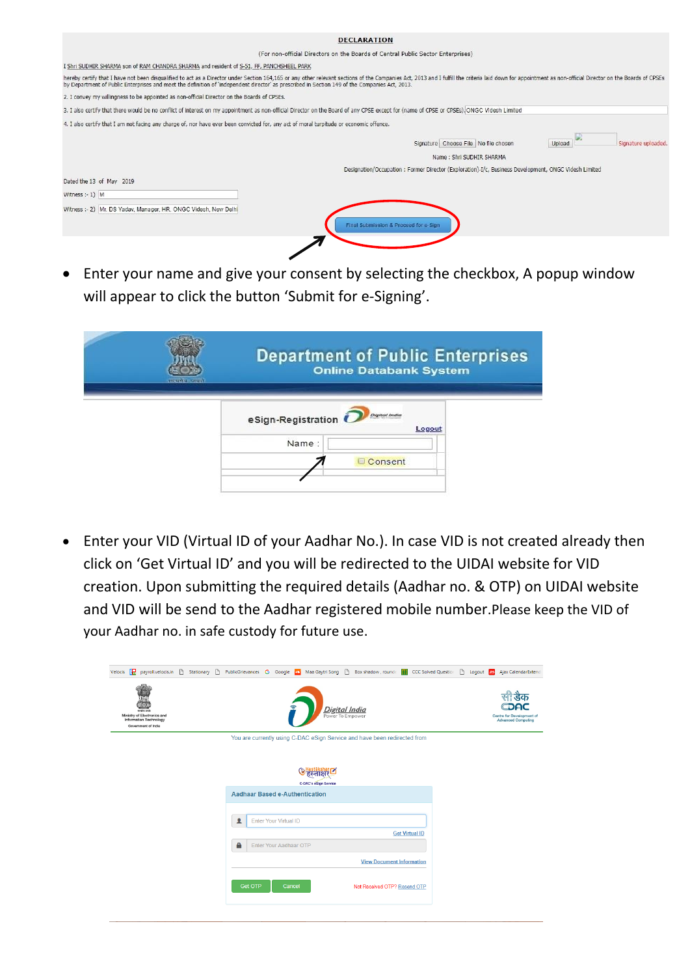| <b>DECLARATION</b>                                                                                                                                                                                                                                                                                                                                                               |
|----------------------------------------------------------------------------------------------------------------------------------------------------------------------------------------------------------------------------------------------------------------------------------------------------------------------------------------------------------------------------------|
| (For non-official Directors on the Boards of Central Public Sector Enterprises)                                                                                                                                                                                                                                                                                                  |
| I Shri SUDHIR SHARMA son of RAM CHANDRA SHARMA and resident of S-51, FF, PANCHSHEEL PARK                                                                                                                                                                                                                                                                                         |
| hereby certify that I have not been disqualified to act as a Director under Section 164,165 or any other relevant sections of the Companies Act, 2013 and I fulfill the criteria laid down for appointment as non-official Dir<br>by Department of Public Enterprises and meet the definition of 'independent director' as prescribed in Section 149 of the Companies Act, 2013. |
| 2. I convey my willingness to be appointed as non-official Director on the Boards of CPSEs.                                                                                                                                                                                                                                                                                      |
| 3. I also certify that there would be no conflict of interest on my appointment as non-official Director on the Board of any CPSE except for (name of CPSE or CPSEs). ONGC Videsh Limited                                                                                                                                                                                        |
| 4. I also certify that I am not facing any charge of, nor have ever been convicted for, any act of moral turpitude or economic offence.                                                                                                                                                                                                                                          |
| Signature Choose File   No file chosen<br>Signature uploaded.<br>Upload<br>Name: Shri SUDHIR SHARMA<br>Designation/Occupation: Former Director (Exploration)-I/c, Business Development, ONGC Videsh Limited                                                                                                                                                                      |
| Dated the 13 of May 2019<br>Witness $:-1)$ M<br>Witness :- 2) Mr. DS Yadav, Manager, HR, ONGC Videsh, New Delhi<br>Final Submission & Proceed for e-Sign                                                                                                                                                                                                                         |
|                                                                                                                                                                                                                                                                                                                                                                                  |

• Enter your name and give your consent by selecting the checkbox, A popup window will appear to click the button 'Submit for e-Signing'.

| शास्यमेव जयतो | <b>Department of Public Enterprises</b><br><b>Online Databank System</b> |  |
|---------------|--------------------------------------------------------------------------|--|
|               | <b>Original India</b><br>eSign-Registration<br>Logout                    |  |
|               | Name:                                                                    |  |
|               | Consent                                                                  |  |
|               |                                                                          |  |

• Enter your VID (Virtual ID of your Aadhar No.). In case VID is not created already then click on 'Get Virtual ID' and you will be redirected to the UIDAI website for VID creation. Upon submitting the required details (Aadhar no. & OTP) on UIDAI website and VID will be send to the Aadhar registered mobile number.Please keep the VID of your Aadhar no. in safe custody for future use.

|                                                                                                    | Velocis [T] payroll.velocis.in [1] Stationary [1] PublicGrievances G Google [1] Maa Gaytri Song [1] Box shadow, rounde [1] CCC Solved Questior [1] Logout [35] Ajax CalendarExtend |                                                        |
|----------------------------------------------------------------------------------------------------|------------------------------------------------------------------------------------------------------------------------------------------------------------------------------------|--------------------------------------------------------|
| सायमेव जयरे<br>Ministry of Electronics and<br><b>Information Technology</b><br>Government of India | <b>Digital India</b><br>Power To Empower                                                                                                                                           | Centre for Development of<br><b>Advanced Computing</b> |
|                                                                                                    | You are currently using C-DAC eSign Service and have been redirected from                                                                                                          |                                                        |
|                                                                                                    |                                                                                                                                                                                    |                                                        |
|                                                                                                    |                                                                                                                                                                                    |                                                        |
|                                                                                                    | <b>C-DAC's eSign Service</b><br><b>Aadhaar Based e-Authentication</b>                                                                                                              |                                                        |
|                                                                                                    |                                                                                                                                                                                    |                                                        |
|                                                                                                    | $\blacktriangle$<br>Enter Your Virtual ID                                                                                                                                          |                                                        |
|                                                                                                    | <b>Get Virtual ID</b>                                                                                                                                                              |                                                        |
|                                                                                                    | A<br>Enter Your Aadhaar OTP                                                                                                                                                        |                                                        |
|                                                                                                    | <b>View Document Information</b>                                                                                                                                                   |                                                        |
|                                                                                                    | <b>Get OTP</b><br>Cancel<br>Not Received OTP? Resend OTP                                                                                                                           |                                                        |